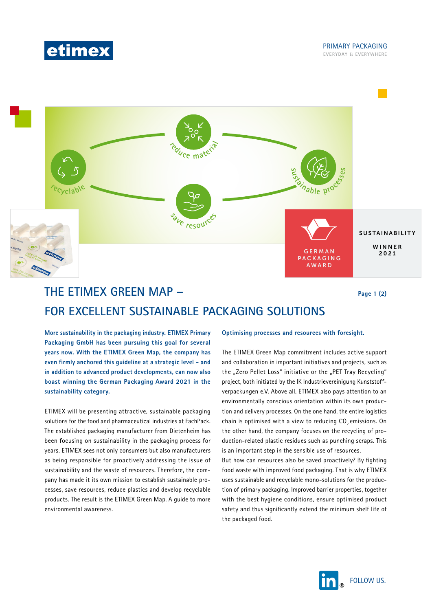



# **THE ETIMEX GREEN MAP – FOR EXCELLENT SUSTAINABLE PACKAGING SOLUTIONS**

**Page 1 (2)**

**More sustainability in the packaging industry. ETIMEX Primary Packaging GmbH has been pursuing this goal for several years now. With the ETIMEX Green Map, the company has even firmly anchored this guideline at a strategic level - and in addition to advanced product developments, can now also boast winning the German Packaging Award 2021 in the sustainability category.**

ETIMEX will be presenting attractive, sustainable packaging solutions for the food and pharmaceutical industries at FachPack. The established packaging manufacturer from Dietenheim has been focusing on sustainability in the packaging process for years. ETIMEX sees not only consumers but also manufacturers as being responsible for proactively addressing the issue of sustainability and the waste of resources. Therefore, the company has made it its own mission to establish sustainable processes, save resources, reduce plastics and develop recyclable products. The result is the ETIMEX Green Map. A guide to more environmental awareness.

## **Optimising processes and resources with foresight.**

The ETIMEX Green Map commitment includes active support and collaboration in important initiatives and projects, such as the "Zero Pellet Loss" initiative or the "PET Tray Recycling" project, both initiated by the IK Industrievereinigung Kunststoffverpackungen e.V. Above all, ETIMEX also pays attention to an environmentally conscious orientation within its own production and delivery processes. On the one hand, the entire logistics chain is optimised with a view to reducing  $CO<sub>2</sub>$  emissions. On the other hand, the company focuses on the recycling of production-related plastic residues such as punching scraps. This is an important step in the sensible use of resources.

But how can resources also be saved proactively? By fighting food waste with improved food packaging. That is why ETIMEX uses sustainable and recyclable mono-solutions for the production of primary packaging. Improved barrier properties, together with the best hygiene conditions, ensure optimised product safety and thus significantly extend the minimum shelf life of the packaged food.